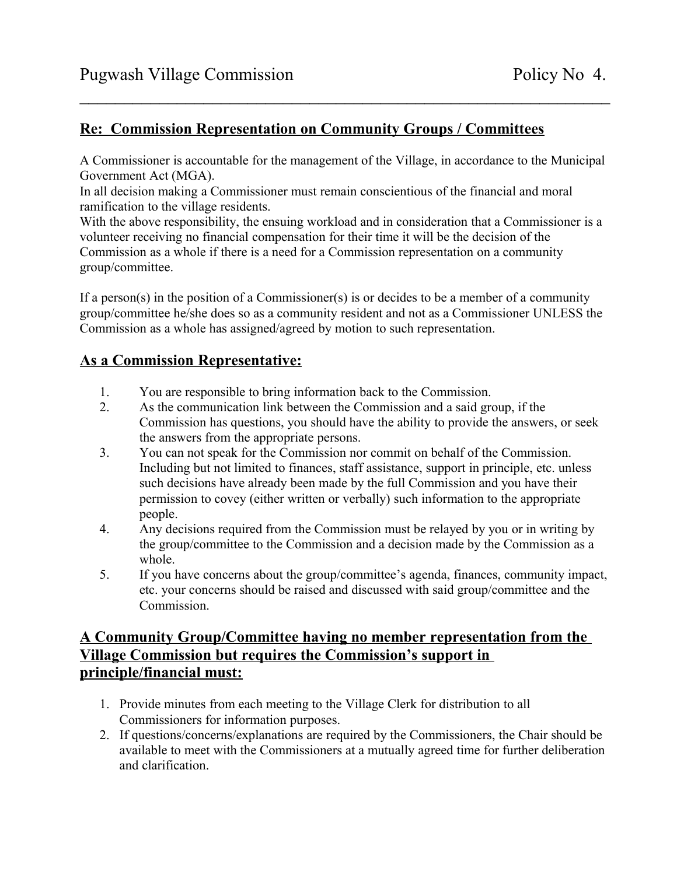## **Re: Commission Representation on Community Groups / Committees**

A Commissioner is accountable for the management of the Village, in accordance to the Municipal Government Act (MGA).

 $\mathcal{L}_\text{max}$  and the contract of the contract of the contract of the contract of the contract of the contract of

In all decision making a Commissioner must remain conscientious of the financial and moral ramification to the village residents.

With the above responsibility, the ensuing workload and in consideration that a Commissioner is a volunteer receiving no financial compensation for their time it will be the decision of the Commission as a whole if there is a need for a Commission representation on a community group/committee.

If a person(s) in the position of a Commissioner(s) is or decides to be a member of a community group/committee he/she does so as a community resident and not as a Commissioner UNLESS the Commission as a whole has assigned/agreed by motion to such representation.

## **As a Commission Representative:**

- 1. You are responsible to bring information back to the Commission.
- 2. As the communication link between the Commission and a said group, if the Commission has questions, you should have the ability to provide the answers, or seek the answers from the appropriate persons.
- 3. You can not speak for the Commission nor commit on behalf of the Commission. Including but not limited to finances, staff assistance, support in principle, etc. unless such decisions have already been made by the full Commission and you have their permission to covey (either written or verbally) such information to the appropriate people.
- 4. Any decisions required from the Commission must be relayed by you or in writing by the group/committee to the Commission and a decision made by the Commission as a whole.
- 5. If you have concerns about the group/committee's agenda, finances, community impact, etc. your concerns should be raised and discussed with said group/committee and the Commission.

## **A Community Group/Committee having no member representation from the Village Commission but requires the Commission's support in principle/financial must:**

- 1. Provide minutes from each meeting to the Village Clerk for distribution to all Commissioners for information purposes.
- 2. If questions/concerns/explanations are required by the Commissioners, the Chair should be available to meet with the Commissioners at a mutually agreed time for further deliberation and clarification.